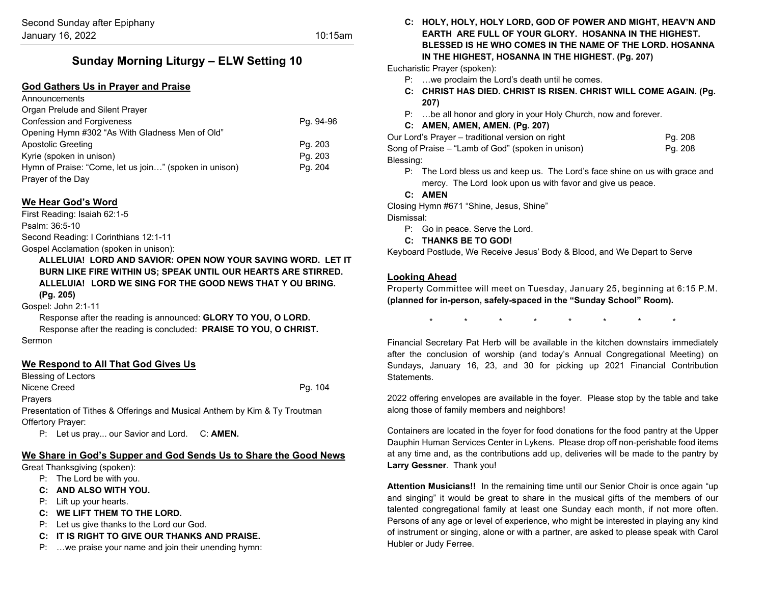# **Sunday Morning Liturgy – ELW Setting 10**

# **God Gathers Us in Prayer and Praise**

| Announcements                                          |           |
|--------------------------------------------------------|-----------|
| Organ Prelude and Silent Prayer                        |           |
| <b>Confession and Forgiveness</b>                      | Pg. 94-96 |
| Opening Hymn #302 "As With Gladness Men of Old"        |           |
| Apostolic Greeting                                     | Pg. 203   |
| Kyrie (spoken in unison)                               | Pg. 203   |
| Hymn of Praise: "Come, let us join" (spoken in unison) | Pg. 204   |
| Prayer of the Day                                      |           |

## **We Hear God's Word**

First Reading: Isaiah 62:1-5 Psalm: 36:5-10 Second Reading: I Corinthians 12:1-11

Gospel Acclamation (spoken in unison):

**ALLELUIA! LORD AND SAVIOR: OPEN NOW YOUR SAVING WORD. LET IT BURN LIKE FIRE WITHIN US; SPEAK UNTIL OUR HEARTS ARE STIRRED. ALLELUIA! LORD WE SING FOR THE GOOD NEWS THAT Y OU BRING. (Pg. 205)**

Gospel: John 2:1-11

Response after the reading is announced: **GLORY TO YOU, O LORD.** Response after the reading is concluded: **PRAISE TO YOU, O CHRIST.** Sermon

## **We Respond to All That God Gives Us**

Blessing of Lectors

Nicene Creed Pg. 104

**Prayers** 

Presentation of Tithes & Offerings and Musical Anthem by Kim & Ty Troutman Offertory Prayer:

P: Let us pray... our Savior and Lord. C: **AMEN.**

## **We Share in God's Supper and God Sends Us to Share the Good News**

Great Thanksgiving (spoken):

- P: The Lord be with you.
- **C: AND ALSO WITH YOU.**
- P: Lift up your hearts.
- **C: WE LIFT THEM TO THE LORD.**
- P: Let us give thanks to the Lord our God.
- **C: IT IS RIGHT TO GIVE OUR THANKS AND PRAISE.**
- P: …we praise your name and join their unending hymn:

**C: HOLY, HOLY, HOLY LORD, GOD OF POWER AND MIGHT, HEAV'N AND EARTH ARE FULL OF YOUR GLORY. HOSANNA IN THE HIGHEST. BLESSED IS HE WHO COMES IN THE NAME OF THE LORD. HOSANNA IN THE HIGHEST, HOSANNA IN THE HIGHEST. (Pg. 207)**

Eucharistic Prayer (spoken):

- P: …we proclaim the Lord's death until he comes.
- **C: CHRIST HAS DIED. CHRIST IS RISEN. CHRIST WILL COME AGAIN. (Pg. 207)**
- P: …be all honor and glory in your Holy Church, now and forever.

## **C: AMEN, AMEN, AMEN. (Pg. 207)**

| Our Lord's Prayer – traditional version on right   | Pg. 208 |
|----------------------------------------------------|---------|
| Song of Praise – "Lamb of God" (spoken in unison)_ | Pa. 208 |
| Blessing:                                          |         |

P: The Lord bless us and keep us. The Lord's face shine on us with grace and mercy. The Lord look upon us with favor and give us peace.

**C: AMEN**

Closing Hymn #671 "Shine, Jesus, Shine"

Dismissal:

- P: Go in peace. Serve the Lord.
- **C: THANKS BE TO GOD!**

Keyboard Postlude, We Receive Jesus' Body & Blood, and We Depart to Serve

# **Looking Ahead**

Property Committee will meet on Tuesday, January 25, beginning at 6:15 P.M. **(planned for in-person, safely-spaced in the "Sunday School" Room).**

\* \* \* \* \* \* \* \*

Financial Secretary Pat Herb will be available in the kitchen downstairs immediately after the conclusion of worship (and today's Annual Congregational Meeting) on Sundays, January 16, 23, and 30 for picking up 2021 Financial Contribution **Statements** 

2022 offering envelopes are available in the foyer. Please stop by the table and take along those of family members and neighbors!

Containers are located in the foyer for food donations for the food pantry at the Upper Dauphin Human Services Center in Lykens. Please drop off non-perishable food items at any time and, as the contributions add up, deliveries will be made to the pantry by **Larry Gessner**. Thank you!

**Attention Musicians!!** In the remaining time until our Senior Choir is once again "up and singing" it would be great to share in the musical gifts of the members of our talented congregational family at least one Sunday each month, if not more often. Persons of any age or level of experience, who might be interested in playing any kind of instrument or singing, alone or with a partner, are asked to please speak with Carol Hubler or Judy Ferree.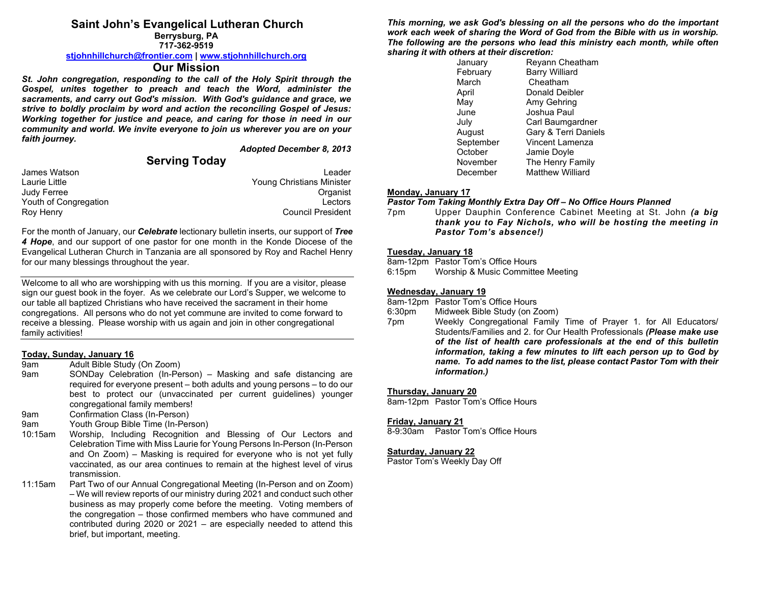# **Saint John's Evangelical Lutheran Church**

**Berrysburg, PA 717-362-9519**

#### **[stjohnhillchurch@frontier.com](mailto:stjohnhillchurch@frontier.com) | [www.stjohnhillchurch.org](http://www.stjohnhillchurch.org/)**

# **Our Mission**

*St. John congregation, responding to the call of the Holy Spirit through the Gospel, unites together to preach and teach the Word, administer the sacraments, and carry out God's mission. With God's guidance and grace, we strive to boldly proclaim by word and action the reconciling Gospel of Jesus: Working together for justice and peace, and caring for those in need in our community and world. We invite everyone to join us wherever you are on your faith journey.*

*Adopted December 8, 2013*

# **Serving Today**

| James Watson          | Leader                    |
|-----------------------|---------------------------|
| Laurie Little         | Young Christians Minister |
| Judy Ferree           | Organist                  |
| Youth of Congregation | Lectors                   |
| Roy Henry             | <b>Council President</b>  |

For the month of January, our *Celebrate* lectionary bulletin inserts, our support of *Tree 4 Hope*, and our support of one pastor for one month in the Konde Diocese of the Evangelical Lutheran Church in Tanzania are all sponsored by Roy and Rachel Henry for our many blessings throughout the year.

Welcome to all who are worshipping with us this morning. If you are a visitor, please sign our guest book in the foyer. As we celebrate our Lord's Supper, we welcome to our table all baptized Christians who have received the sacrament in their home congregations. All persons who do not yet commune are invited to come forward to receive a blessing. Please worship with us again and join in other congregational family activities!

### **Today, Sunday, January 16**

- 9am Adult Bible Study (On Zoom)
- 9am SONDay Celebration (In-Person) Masking and safe distancing are required for everyone present – both adults and young persons – to do our best to protect our (unvaccinated per current guidelines) younger congregational family members!
- 9am Confirmation Class (In-Person)
- 9am Youth Group Bible Time (In-Person)
- 10:15am Worship, Including Recognition and Blessing of Our Lectors and Celebration Time with Miss Laurie for Young Persons In-Person (In-Person and On Zoom) – Masking is required for everyone who is not yet fully vaccinated, as our area continues to remain at the highest level of virus transmission.
- 11:15am Part Two of our Annual Congregational Meeting (In-Person and on Zoom) – We will review reports of our ministry during 2021 and conduct such other business as may properly come before the meeting. Voting members of the congregation – those confirmed members who have communed and contributed during 2020 or 2021 – are especially needed to attend this brief, but important, meeting.

*This morning, we ask God's blessing on all the persons who do the important work each week of sharing the Word of God from the Bible with us in worship. The following are the persons who lead this ministry each month, while often sharing it with others at their discretion:* 

| January   | Reyann Cheatham         |
|-----------|-------------------------|
| February  | <b>Barry Williard</b>   |
| March     | Cheatham                |
| April     | Donald Deibler          |
| May       | Amy Gehring             |
| June      | Joshua Paul             |
| July      | Carl Baumgardner        |
| August    | Gary & Terri Daniels    |
| September | Vincent Lamenza         |
| October   | Jamie Doyle             |
| November  | The Henry Family        |
| December  | <b>Matthew Williard</b> |

#### **Monday, January 17**

#### *Pastor Tom Taking Monthly Extra Day Off – No Office Hours Planned*

7pm Upper Dauphin Conference Cabinet Meeting at St. John *(a big thank you to Fay Nichols, who will be hosting the meeting in Pastor Tom's absence!)*

#### **Tuesday, January 18**

8am-12pm Pastor Tom's Office Hours

6:15pm Worship & Music Committee Meeting

#### **Wednesday, January 19**

8am-12pm Pastor Tom's Office Hours

- 6:30pm Midweek Bible Study (on Zoom)
- 7pm Weekly Congregational Family Time of Prayer 1. for All Educators/ Students/Families and 2. for Our Health Professionals *(Please make use of the list of health care professionals at the end of this bulletin information, taking a few minutes to lift each person up to God by name. To add names to the list, please contact Pastor Tom with their information.)*

#### **Thursday, January 20**

8am-12pm Pastor Tom's Office Hours

#### **Friday, January 21**

8-9:30am Pastor Tom's Office Hours

#### **Saturday, January 22**

Pastor Tom's Weekly Day Off